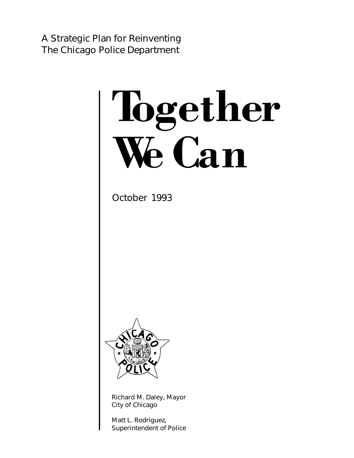A Strategic Plan for Reinventing The Chicago Police Department

# Together We Can

October 1993



Richard M. Daley, Mayor City of Chicago

Matt L. Rodriguez, Superintendent of Police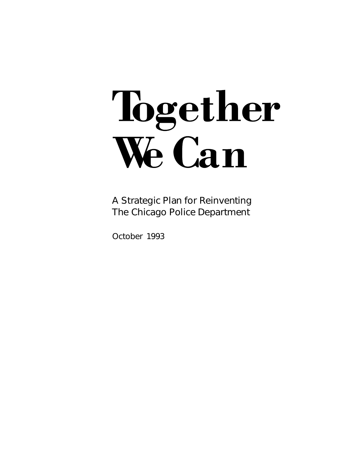# Together We Can

A Strategic Plan for Reinventing The Chicago Police Department

October 1993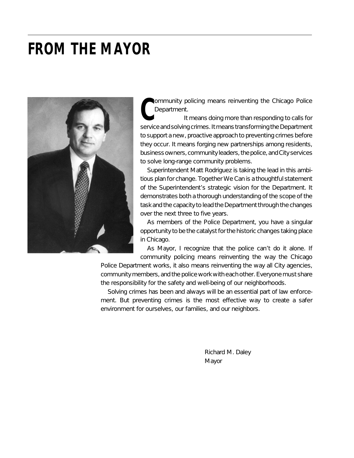# **FROM THE MAYOR**



**COMMUNITY POLICING MEANS REPORT THE CHICAGO POLICE**<br>
Department. It means doing more than responding to calls for<br>
Service and solving crimes, It means transforming the Department

service and solving crimes. It means transforming the Department to support a new, proactive approach to preventing crimes before they occur. It means forging new partnerships among residents, business owners, community leaders, the police, and City services to solve long-range community problems.

Superintendent Matt Rodriguez is taking the lead in this ambitious plan for change. *Together We Can* is a thoughtful statement of the Superintendent's strategic vision for the Department. It demonstrates both a thorough understanding of the scope of the task and the capacity to lead the Department through the changes over the next three to five years.

As members of the Police Department, you have a singular opportunity to be the catalyst for the historic changes taking place in Chicago.

As Mayor, I recognize that the police can't do it alone. If community policing means reinventing the way the Chicago

Police Department works, it also means reinventing the way all City agencies, community members, and the police work with each other. Everyone must share the responsibility for the safety and well-being of our neighborhoods.

Solving crimes has been and always will be an essential part of law enforcement. But preventing crimes is the most effective way to create a safer environment for ourselves, our families, and our neighbors.

> Richard M. Daley Mayor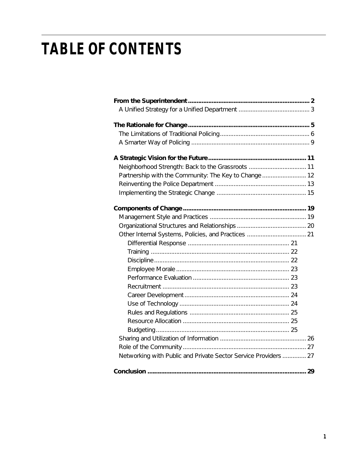# **TABLE OF CONTENTS**

| Partnership with the Community: The Key to Change  12           |  |
|-----------------------------------------------------------------|--|
|                                                                 |  |
| Networking with Public and Private Sector Service Providers  27 |  |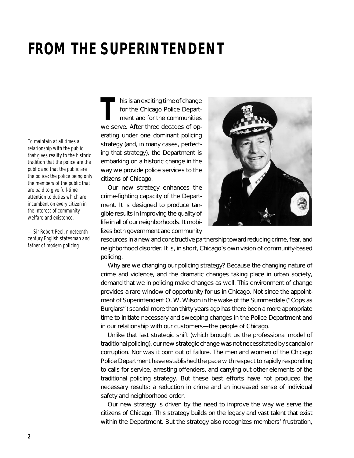# **FROM THE SUPERINTENDENT**

*To maintain at all times a relationship with the public that gives reality to the historic tradition that the police are the public and that the public are the police: the police being only the members of the public that are paid to give full-time attention to duties which are incumbent on every citizen in the interest of community welfare and existence.*

*—Sir Robert Peel, nineteenthcentury English statesman and father of modern policing*

his is an exciting time of change for the Chicago Police Depart-<br>ment and for the communities we serve. After three decades of operating under one dominant policing strategy (and, in many cases, perfecting that strategy), the Department is embarking on a historic change in the way we provide police services to the citizens of Chicago.

Our new strategy enhances the crime-fighting capacity of the Department. It is designed to produce tangible results in improving the quality of life in all of our neighborhoods. It mobilizes both government and community



resources in a new and constructive partnership toward reducing crime, fear, and neighborhood disorder. It is, in short, Chicago's own vision of community-based policing.

Why are we changing our policing strategy? Because the changing nature of crime and violence, and the dramatic changes taking place in urban society, demand that we in policing make changes as well. This environment of change provides a rare window of opportunity for us in Chicago. Not since the appointment of Superintendent O. W. Wilson in the wake of the Summerdale ("Cops as Burglars") scandal more than thirty years ago has there been a more appropriate time to initiate necessary and sweeping changes in the Police Department and in our relationship with our customers—the people of Chicago.

Unlike that last strategic shift (which brought us the professional model of traditional policing), our new strategic change was not necessitated by scandal or corruption. Nor was it born out of failure. The men and women of the Chicago Police Department have established the pace with respect to rapidly responding to calls for service, arresting offenders, and carrying out other elements of the traditional policing strategy. But these best efforts have not produced the necessary results: a reduction in crime and an increased sense of individual safety and neighborhood order.

Our new strategy is driven by the need to improve the way we serve the citizens of Chicago. This strategy builds on the legacy and vast talent that exist within the Department. But the strategy also recognizes members' frustration,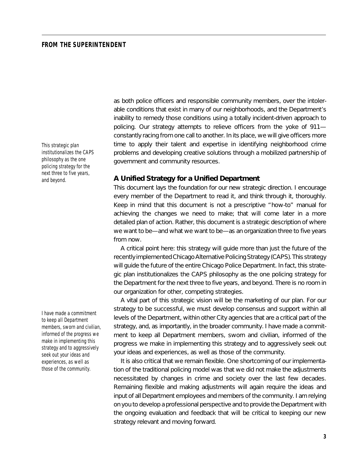#### **FROM THE SUPERINTENDENT**

*This strategic plan institutionalizes the CAPS philosophy as the one policing strategy for the next three to five years, and beyond.*

*I have made a commitment to keep all Department members, sworn and civilian, informed of the progress we make in implementing this strategy and to aggressively seek out your ideas and experiences, as well as those of the community.*

as both police officers and responsible community members, over the intolerable conditions that exist in many of our neighborhoods, and the Department's inability to remedy those conditions using a totally incident-driven approach to policing. Our strategy attempts to relieve officers from the yoke of 911 constantly racing from one call to another. In its place, we will give officers more time to apply their talent and expertise in identifying neighborhood crime problems and developing creative solutions through a mobilized partnership of government and community resources.

#### **A Unified Strategy for a Unified Department**

This document lays the foundation for our new strategic direction. I encourage every member of the Department to read it, and think through it, thoroughly. Keep in mind that this document is not a prescriptive "how-to" manual for achieving the changes we need to make; that will come later in a more detailed plan of action. Rather, this document is a strategic description of where we want to be—and what we want to be—as an organization three to five years from now.

A critical point here: this strategy will guide more than just the future of the recently implemented Chicago Alternative Policing Strategy (CAPS). This strategy will guide the future of the entire Chicago Police Department. In fact, this strategic plan institutionalizes the CAPS philosophy as the one policing strategy for the Department for the next three to five years, and beyond. There is no room in our organization for other, competing strategies.

A vital part of this strategic vision will be the marketing of our plan. For our strategy to be successful, we must develop consensus and support within all levels of the Department, within other City agencies that are a critical part of the strategy, and, as importantly, in the broader community. I have made a commitment to keep all Department members, sworn and civilian, informed of the progress we make in implementing this strategy and to aggressively seek out your ideas and experiences, as well as those of the community.

It is also critical that we remain flexible. One shortcoming of our implementation of the traditional policing model was that we did not make the adjustments necessitated by changes in crime and society over the last few decades. Remaining flexible and making adjustments will again require the ideas and input of all Department employees and members of the community. I am relying on you to develop a professional perspective and to provide the Department with the ongoing evaluation and feedback that will be critical to keeping our new strategy relevant and moving forward.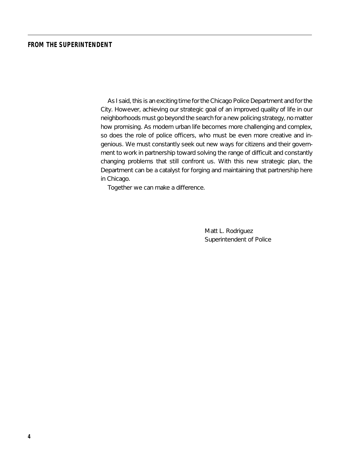### **FROM THE SUPERINTENDENT**

As I said, this is an exciting time for the Chicago Police Department and for the City. However, achieving our strategic goal of an improved quality of life in our neighborhoods must go beyond the search for a new policing strategy, no matter how promising. As modern urban life becomes more challenging and complex, so does the role of police officers, who must be even more creative and ingenious. We must constantly seek out new ways for citizens and their government to work in partnership toward solving the range of difficult and constantly changing problems that still confront us. With this new strategic plan, the Department can be a catalyst for forging and maintaining that partnership here in Chicago.

Together we can make a difference.

Matt L. Rodriguez Superintendent of Police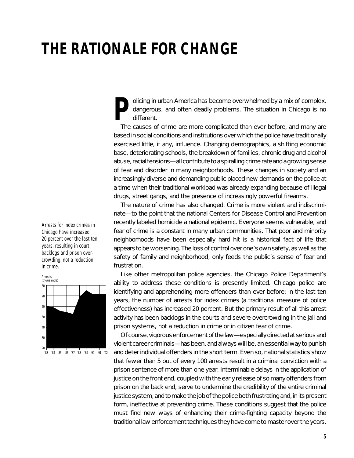olicing in urban America has become overwhelmed by a mix of complex, **P**dangerous, and often deadly problems. The situation in Chicago is no different.

The causes of crime are more complicated than ever before, and many are based in social conditions and institutions over which the police have traditionally exercised little, if any, influence. Changing demographics, a shifting economic base, deteriorating schools, the breakdown of families, chronic drug and alcohol abuse, racial tensions—all contribute to a spiralling crime rate and a growing sense of fear and disorder in many neighborhoods. These changes in society and an increasingly diverse and demanding public placed new demands on the police at a time when their traditional workload was already expanding because of illegal drugs, street gangs, and the presence of increasingly powerful firearms.

The nature of crime has also changed. Crime is more violent and indiscriminate—to the point that the national Centers for Disease Control and Prevention recently labeled homicide a national epidemic. Everyone seems vulnerable, and fear of crime is a constant in many urban communities. That poor and minority neighborhoods have been especially hard hit is a historical fact of life that appears to be worsening. The loss of control over one's own safety, as well as the safety of family and neighborhood, only feeds the public's sense of fear and frustration.

Like other metropolitan police agencies, the Chicago Police Department's ability to address these conditions is presently limited. Chicago police are identifying and apprehending more offenders than ever before: in the last ten years, the number of arrests for index crimes (a traditional measure of police effectiveness) has increased 20 percent. But the primary result of all this arrest activity has been backlogs in the courts and severe overcrowding in the jail and prison systems, not a reduction in crime or in citizen fear of crime.

Of course, vigorous enforcement of the law—especially directed at serious and violent career criminals—has been, and always will be, an essential way to punish and deter individual offenders in the short term. Even so, national statistics show that fewer than 5 out of every 100 arrests result in a criminal conviction with a prison sentence of more than one year. Interminable delays in the application of justice on the front end, coupled with the early release of so many offenders from prison on the back end, serve to undermine the credibility of the entire criminal justice system, and to make the job of the police both frustrating and, in its present form, ineffective at preventing crime. These conditions suggest that the police must find new ways of enhancing their crime-fighting capacity beyond the traditional law enforcement techniques they have come to master over the years.

*Arrests for index crimes in Chicago have increased 20 percent over the last ten years, resulting in court backlogs and prison overcrowding, not a reduction in crime.*

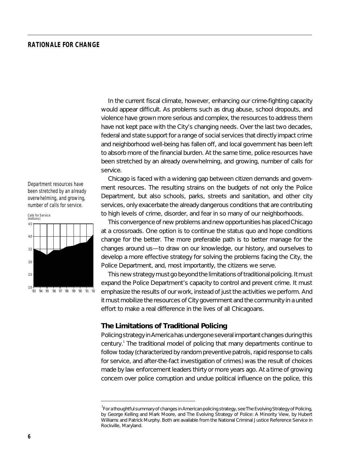In the current fiscal climate, however, enhancing our crime-fighting capacity would appear difficult. As problems such as drug abuse, school dropouts, and violence have grown more serious and complex, the resources to address them have not kept pace with the City's changing needs. Over the last two decades, federal and state support for a range of social services that directly impact crime and neighborhood well-being has fallen off, and local government has been left to absorb more of the financial burden. At the same time, police resources have been stretched by an already overwhelming, and growing, number of calls for service.

*Department resources have been stretched by an already overwhelming, and growing, number of calls for service.*



Chicago is faced with a widening gap between citizen demands and government resources. The resulting strains on the budgets of not only the Police Department, but also schools, parks, streets and sanitation, and other city services, only exacerbate the already dangerous conditions that are contributing to high levels of crime, disorder, and fear in so many of our neighborhoods.

This convergence of new problems and new opportunities has placed Chicago at a crossroads. One option is to continue the status quo and hope conditions change for the better. The more preferable path is to better manage for the changes around us—to draw on our knowledge, our history, and ourselves to develop a more effective strategy for solving the problems facing the City, the Police Department, and, most importantly, the citizens we serve.

This new strategy must go beyond the limitations of traditional policing. It must expand the Police Department's capacity to control *and prevent* crime. It must emphasize the *results* of our work, instead of just the activities we perform. And it must mobilize the resources of City government and the community in a united effort to make a real difference in the lives of all Chicagoans.

# **The Limitations of Traditional Policing**

Policing strategy in America has undergone several important changes during this century.<sup>1</sup> The traditional model of policing that many departments continue to follow today (characterized by random preventive patrols, rapid response to calls for service, and after-the-fact investigation of crimes) was the result of choices made by law enforcement leaders thirty or more years ago. At a time of growing concern over police corruption and undue political influence on the police, this

<sup>1</sup>For a thoughtful summary of changes in American policing strategy, see *The Evolving Strategy of Policing*, by George Kelling and Mark Moore, and *The Evolving Strategy of Police: A Minority View*, by Hubert Williams and Patrick Murphy. Both are available from the National Criminal Justice Reference Service in Rockville, Maryland.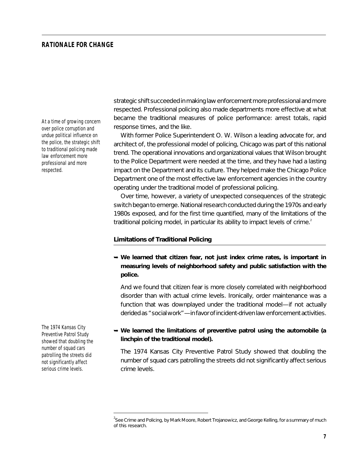*At a time of growing concern over police corruption and undue political influence on the police, the strategic shift to traditional policing made law enforcement more professional and more respected.*

*The 1974 Kansas City Preventive Patrol Study showed that doubling the number of squad cars patrolling the streets did not significantly affect serious crime levels.*

strategic shift succeeded in making law enforcement more professional and more respected. Professional policing also made departments more effective at what became the traditional measures of police performance: arrest totals, rapid response times, and the like.

With former Police Superintendent O. W. Wilson a leading advocate for, and architect of, the professional model of policing, Chicago was part of this national trend. The operational innovations and organizational values that Wilson brought to the Police Department were needed at the time, and they have had a lasting impact on the Department and its culture. They helped make the Chicago Police Department one of the most effective law enforcement agencies in the country operating under the traditional model of professional policing.

Over time, however, a variety of unexpected consequences of the strategic switch began to emerge. National research conducted during the 1970s and early 1980s exposed, and for the first time quantified, many of the limitations of the traditional policing model, in particular its ability to impact levels of crime.<sup>2</sup>

#### **Limitations of Traditional Policing**

➥ **We learned that citizen fear, not just index crime rates, is important in measuring levels of neighborhood safety and public satisfaction with the police.**

And we found that citizen fear is more closely correlated with neighborhood disorder than with actual crime levels. Ironically, order maintenance was a function that was downplayed under the traditional model—if not actually derided as "social work"—in favor of incident-driven law enforcement activities.

# ➥ **We learned the limitations of preventive patrol using the automobile (a linchpin of the traditional model).**

The 1974 Kansas City Preventive Patrol Study showed that doubling the number of squad cars patrolling the streets did not significantly affect serious crime levels.

<sup>2</sup> See *Crime and Policing*, by Mark Moore, Robert Trojanowicz, and George Kelling, for a summary of much of this research.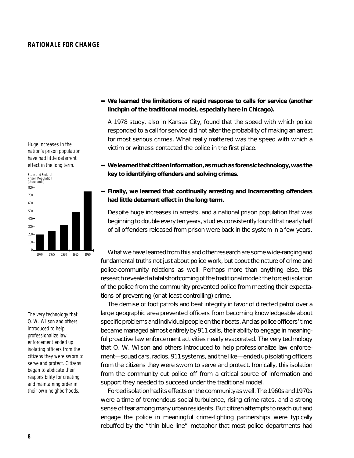*Huge increases in the nation's prison population have had little deterrent effect in the long term.*



*The very technology that O. W. Wilson and others introduced to help professionalize law enforcement ended up isolating officers from the citizens they were sworn to serve and protect. Citizens began to abdicate their responsibility for creating and maintaining order in their own neighborhoods.*

# ➥ **We learned the limitations of rapid response to calls for service (another linchpin of the traditional model, especially here in Chicago).**

A 1978 study, also in Kansas City, found that the speed with which police responded to a call for service did not alter the probability of making an arrest for most serious crimes. What really mattered was the speed with which a victim or witness contacted the police in the first place.

- ➥ **We learned that citizen information, as much as forensic technology, was the key to identifying offenders and solving crimes.**
- ➥ **Finally, we learned that continually arresting and incarcerating offenders had little deterrent effect in the long term.**

Despite huge increases in arrests, and a national prison population that was beginning to double every ten years, studies consistently found that nearly half of all offenders released from prison were back in the system in a few years.

What we have learned from this and other research are some wide-ranging and fundamental truths not just about police work, but about the nature of crime and police-community relations as well. Perhaps more than anything else, this research revealed a fatal shortcoming of the traditional model: the forced isolation of the police from the community prevented police from meeting their expectations of preventing (or at least controlling) crime.

The demise of foot patrols and beat integrity in favor of directed patrol over a large geographic area prevented officers from becoming knowledgeable about specific problems and individual people on their beats. And as police officers' time became managed almost entirely by 911 calls, their ability to engage in meaningful proactive law enforcement activities nearly evaporated. The very technology that O. W. Wilson and others introduced to help professionalize law enforcement—squad cars, radios, 911 systems, and the like—ended up isolating officers from the citizens they were sworn to serve and protect. Ironically, this isolation from the community cut police off from a critical source of information and support they needed to succeed under the traditional model.

Forced isolation had its effects on the community as well. The 1960s and 1970s were a time of tremendous social turbulence, rising crime rates, and a strong sense of fear among many urban residents. But citizen attempts to reach out and engage the police in meaningful crime-fighting partnerships were typically rebuffed by the "thin blue line" metaphor that most police departments had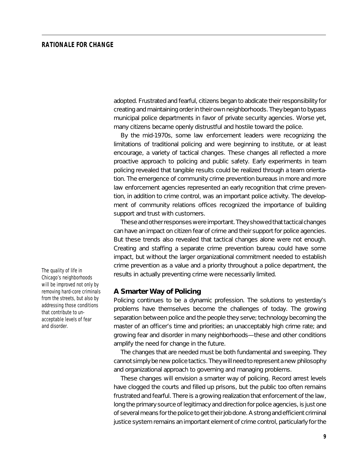adopted. Frustrated and fearful, citizens began to abdicate their responsibility for creating and maintaining order in their own neighborhoods. They began to bypass municipal police departments in favor of private security agencies. Worse yet, many citizens became openly distrustful and hostile toward the police.

By the mid-1970s, some law enforcement leaders were recognizing the limitations of traditional policing and were beginning to institute, or at least encourage, a variety of tactical changes. These changes all reflected a more proactive approach to policing and public safety. Early experiments in team policing revealed that tangible results could be realized through a team orientation. The emergence of community crime prevention bureaus in more and more law enforcement agencies represented an early recognition that crime prevention, in addition to crime control, was an important police activity. The development of community relations offices recognized the importance of building support and trust with customers.

These and other responses were important. They showed that tactical changes can have an impact on citizen fear of crime and their support for police agencies. But these trends also revealed that tactical changes alone were not enough. Creating and staffing a separate crime prevention bureau could have some impact, but without the larger organizational commitment needed to establish crime prevention as a value and a priority throughout a police department, the results in actually preventing crime were necessarily limited.

#### **A Smarter Way of Policing**

Policing continues to be a dynamic profession. The solutions to yesterday's problems have themselves become the challenges of today. The growing separation between police and the people they serve; technology becoming the master of an officer's time and priorities; an unacceptably high crime rate; and growing fear and disorder in many neighborhoods—these and other conditions amplify the need for change in the future.

The changes that are needed must be both fundamental and sweeping. They cannot simply be new police tactics. They will need to represent a new philosophy and organizational approach to governing and managing problems.

These changes will envision a *smarter* way of policing. Record arrest levels have clogged the courts and filled up prisons, but the public too often remains frustrated and fearful. There is a growing realization that enforcement of the law, long the primary source of legitimacy and direction for police agencies, is just one of several means for the police to get their job done. A strong and efficient criminal justice system remains an important element of crime control, particularly for the

*The quality of life in Chicago's neighborhoods will be improved not only by removing hard-core criminals from the streets, but also by addressing those conditions that contribute to unacceptable levels of fear and disorder.*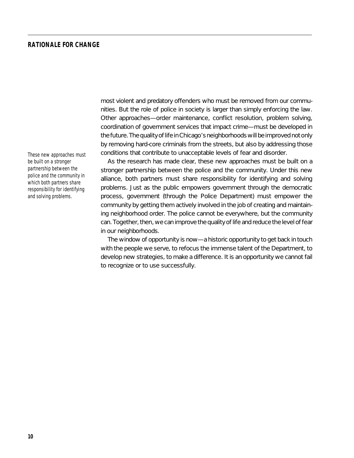*These new approaches must be built on a stronger partnership between the police and the community in which both partners share responsibility for identifying and solving problems.*

most violent and predatory offenders who must be removed from our communities. But the role of police in society is larger than simply enforcing the law. Other approaches—order maintenance, conflict resolution, problem solving, coordination of government services that impact crime—must be developed in the future. The quality of life in Chicago's neighborhoods will be improved not only by removing hard-core criminals from the streets, but also by addressing those conditions that contribute to unacceptable levels of fear and disorder.

As the research has made clear, these new approaches must be built on a stronger partnership between the police and the community. Under this new alliance, both partners must share responsibility for identifying and solving problems. Just as the public empowers government through the democratic process, government (through the Police Department) must empower the community by getting them actively involved in the job of creating and maintaining neighborhood order. The police cannot be everywhere, but the community can. Together, then, we can improve the quality of life and reduce the level of fear in our neighborhoods.

The window of opportunity is now—a historic opportunity to get back in touch with the people we serve, to refocus the immense talent of the Department, to develop new strategies, to make a difference. It is an opportunity we cannot fail to recognize or to use successfully.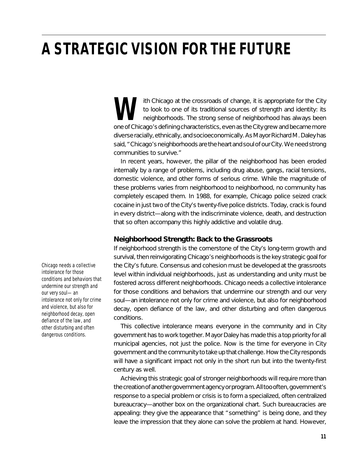# **A STRATEGIC VISION FOR THE FUTURE**

ith Chicago at the crossroads of change, it is appropriate for the City to look to one of its traditional sources of strength and identity: its neighborhoods. The strong sense of neighborhood has always been one of Chicago's defining characteristics, even as the City grew and became more diverse racially, ethnically, and socioeconomically. As Mayor Richard M. Daley has said, "Chicago's neighborhoods are the heart and soul of our City. We need strong communities to survive."

In recent years, however, the pillar of the neighborhood has been eroded internally by a range of problems, including drug abuse, gangs, racial tensions, domestic violence, and other forms of serious crime. While the magnitude of these problems varies from neighborhood to neighborhood, no community has completely escaped them. In 1988, for example, Chicago police seized crack cocaine in just two of the City's twenty-five police districts. Today, crack is found in every district—along with the indiscriminate violence, death, and destruction that so often accompany this highly addictive and volatile drug.

# **Neighborhood Strength: Back to the Grassroots**

If neighborhood strength is the cornerstone of the City's long-term growth and survival, then reinvigorating Chicago's neighborhoods is the key strategic goal for the City's future. Consensus and cohesion must be developed at the grassroots level within individual neighborhoods, just as understanding and unity must be fostered across different neighborhoods. Chicago needs a collective intolerance for those conditions and behaviors that undermine our strength and our very soul—an intolerance not only for crime and violence, but also for neighborhood decay, open defiance of the law, and other disturbing and often dangerous conditions.

This collective intolerance means everyone in the community and in City government has to work together. Mayor Daley has made this a top priority for all municipal agencies, not just the police. Now is the time for everyone in City government and the community to take up that challenge. How the City responds will have a significant impact not only in the short run but into the twenty-first century as well.

Achieving this strategic goal of stronger neighborhoods will require more than the creation of another government agency or program. All too often, government's response to a special problem or crisis is to form a specialized, often centralized bureaucracy—another box on the organizational chart. Such bureaucracies are appealing: they give the appearance that "something" is being done, and they leave the impression that they alone can solve the problem at hand. However,

*Chicago needs a collective intolerance for those conditions and behaviors that undermine our strength and our very soul—an intolerance not only for crime and violence, but also for neighborhood decay, open defiance of the law, and other disturbing and often dangerous conditions.*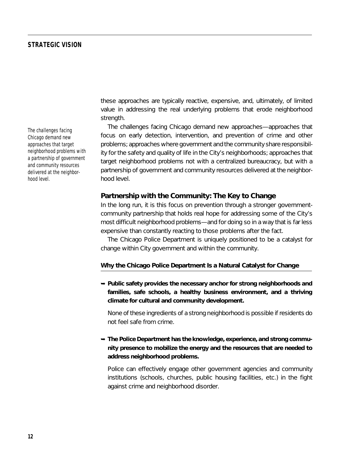value in addressing the real underlying problems that erode neighborhood strength. The challenges facing Chicago demand new approaches—approaches that

focus on early detection, intervention, and prevention of crime and other problems; approaches where government and the community share responsibility for the safety and quality of life in the City's neighborhoods; approaches that target neighborhood problems not with a centralized bureaucracy, but with a partnership of government and community resources delivered at the neighborhood level.

these approaches are typically reactive, expensive, and, ultimately, of limited

#### **Partnership with the Community: The Key to Change**

In the long run, it is this focus on prevention through a stronger governmentcommunity partnership that holds real hope for addressing some of the City's most difficult neighborhood problems—and for doing so in a way that is far less expensive than constantly reacting to those problems after the fact.

The Chicago Police Department is uniquely positioned to be a catalyst for change within City government and within the community.

#### **Why the Chicago Police Department Is a Natural Catalyst for Change**

➥ **Public safety provides the necessary anchor for strong neighborhoods and families, safe schools, a healthy business environment, and a thriving climate for cultural and community development.**

None of these ingredients of a strong neighborhood is possible if residents do not feel safe from crime.

# **→ The Police Department has the knowledge, experience, and strong community presence to mobilize the energy and the resources that are needed to address neighborhood problems.**

Police can effectively engage other government agencies and community institutions (schools, churches, public housing facilities, etc.) in the fight against crime and neighborhood disorder.

*The challenges facing Chicago demand new approaches that target neighborhood problems with a partnership of government and community resources delivered at the neighborhood level.*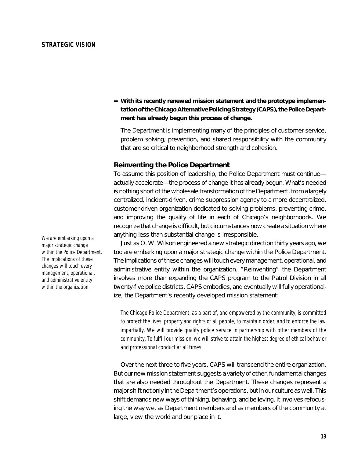$\rightarrow$  **With its recently renewed mission statement and the prototype implementation of the Chicago Alternative Policing Strategy (CAPS), the Police Department has already begun this process of change.**

The Department is implementing many of the principles of customer service, problem solving, prevention, and shared responsibility with the community that are so critical to neighborhood strength and cohesion.

#### **Reinventing the Police Department**

To assume this position of leadership, the Police Department must continue actually accelerate—the process of change it has already begun. What's needed is nothing short of the wholesale transformation of the Department, from a largely centralized, incident-driven, crime suppression agency to a more decentralized, customer-driven organization dedicated to solving problems, preventing crime, and improving the quality of life in each of Chicago's neighborhoods. We recognize that change is difficult, but circumstances now create a situation where anything less than substantial change is irresponsible.

Just as O. W. Wilson engineered a new strategic direction thirty years ago, we too are embarking upon a major strategic change within the Police Department. The implications of these changes will touch every management, operational, and administrative entity within the organization. "Reinventing" the Department involves more than expanding the CAPS program to the Patrol Division in all twenty-five police districts. CAPS embodies, and eventually will fully operationalize, the Department's recently developed mission statement:

*The Chicago Police Department, as a part of, and empowered by the community, is committed to protect the lives, property and rights of all people, to maintain order, and to enforce the law impartially. We will provide quality police service in partnership with other members of the community. To fulfill our mission, we will strive to attain the highest degree of ethical behavior and professional conduct at all times.*

Over the next three to five years, CAPS will transcend the entire organization. But our new mission statement suggests a variety of other, fundamental changes that are also needed throughout the Department. These changes represent a major shift not only in the Department's operations, but in our culture as well. This shift demands new ways of thinking, behaving, and believing. It involves refocusing the way we, as Department members and as members of the community at large, view the world and our place in it.

*We are embarking upon a major strategic change within the Police Department. The implications of these changes will touch every management, operational, and administrative entity within the organization.*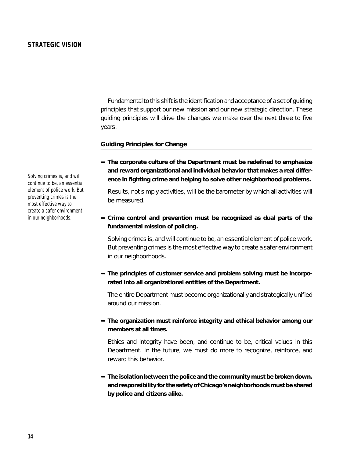Fundamental to this shift is the identification and acceptance of a set of guiding principles that support our new mission and our new strategic direction. These guiding principles will drive the changes we make over the next three to five years.

#### **Guiding Principles for Change**

➥ **The corporate culture of the Department must be redefined to emphasize and reward organizational and individual behavior that makes a real difference in fighting crime and helping to solve other neighborhood problems.**

Results, not simply activities, will be the barometer by which all activities will be measured.

# ➥ **Crime control and** *prevention* **must be recognized as dual parts of the fundamental mission of policing.**

Solving crimes is, and will continue to be, an essential element of police work. But preventing crimes is the most effective way to create a safer environment in our neighborhoods.

 $\rightarrow$  **The principles of customer service and problem solving must be incorporated into** *all* **organizational entities of the Department.**

The entire Department must become organizationally and strategically unified around our mission.

# ➥ **The organization must reinforce integrity and ethical behavior among our members at all times.**

Ethics and integrity have been, and continue to be, critical values in this Department. In the future, we must do more to recognize, reinforce, and reward this behavior.

➥ **The isolation between the police and the community must be broken down, and responsibility for the safety of Chicago's neighborhoods must be shared by police and citizens alike.**

*Solving crimes is, and will continue to be, an essential element of police work. But preventing crimes is the most effective way to create a safer environment in our neighborhoods.*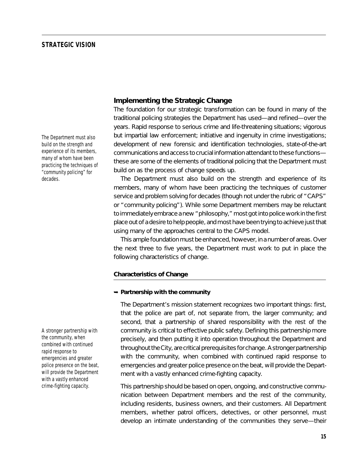*The Department must also build on the strength and experience of its members, many of whom have been practicing the techniques of "community policing" for decades.*

*A stronger partnership with the community, when combined with continued rapid response to emergencies and greater police presence on the beat, will provide the Department with a vastly enhanced crime-fighting capacity.*

# **Implementing the Strategic Change**

The foundation for our strategic transformation can be found in many of the traditional policing strategies the Department has used—and refined—over the years. Rapid response to serious crime and life-threatening situations; vigorous but impartial law enforcement; initiative and ingenuity in crime investigations; development of new forensic and identification technologies, state-of-the-art communications and access to crucial information attendant to these functions these are some of the elements of traditional policing that the Department must build on as the process of change speeds up.

The Department must also build on the strength and experience of its members, many of whom have been practicing the techniques of customer service and problem solving for decades (though not under the rubric of "CAPS" or "community policing"). While some Department members may be reluctant to immediately embrace a new "philosophy," most got into police work in the first place out of a desire to help people, and most have been trying to achieve just that using many of the approaches central to the CAPS model.

This ample foundation must be enhanced, however, in a number of areas. Over the next three to five years, the Department must work to put in place the following characteristics of change.

#### **Characteristics of Change**

#### ➥ **Partnership with the community**

The Department's mission statement recognizes two important things: first, that the police are part of, not separate from, the larger community; and second, that a partnership of shared responsibility with the rest of the community is critical to effective public safety. Defining this partnership more precisely, and then putting it into operation throughout the Department and throughout the City, are critical prerequisites for change. A stronger partnership with the community, when combined with continued rapid response to emergencies and greater police presence on the beat, will provide the Department with a vastly enhanced crime-fighting capacity.

This partnership should be based on open, ongoing, and constructive communication between Department members and the rest of the community, including residents, business owners, and their customers. All Department members, whether patrol officers, detectives, or other personnel, must develop an intimate understanding of the communities they serve—their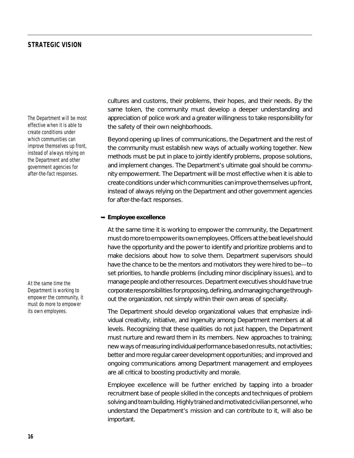*The Department will be most effective when it is able to create conditions under which communities can improve themselves up front, instead of always relying on the Department and other government agencies for after-the-fact responses.*

*At the same time the Department is working to empower the community, it must do more to empower its own employees.*

cultures and customs, their problems, their hopes, and their needs. By the same token, the community must develop a deeper understanding and appreciation of police work and a greater willingness to take responsibility for the safety of their own neighborhoods.

Beyond opening up lines of communications, the Department and the rest of the community must establish new ways of actually working together. New methods must be put in place to jointly identify problems, propose solutions, and implement changes. The Department's ultimate goal should be community empowerment. The Department will be most effective when it is able to create conditions under which communities can improve themselves up front, instead of always relying on the Department and other government agencies for after-the-fact responses.

#### ➥ **Employee excellence**

At the same time it is working to empower the community, the Department must do more to empower its own employees. Officers at the beat level should have the opportunity and the power to identify and prioritize problems and to make decisions about how to solve them. Department supervisors should have the chance to be the mentors and motivators they were hired to be—to set priorities, to handle problems (including minor disciplinary issues), and to manage people and other resources. Department executives should have true corporate responsibilities for proposing, defining, and managing change throughout the organization, not simply within their own areas of specialty.

The Department should develop organizational values that emphasize individual creativity, initiative, and ingenuity among Department members at all levels. Recognizing that these qualities do not just happen, the Department must nurture and reward them in its members. New approaches to training; new ways of measuring individual performance based on results, not activities; better and more regular career development opportunities; and improved and ongoing communications among Department management and employees are all critical to boosting productivity and morale.

Employee excellence will be further enriched by tapping into a broader recruitment base of people skilled in the concepts and techniques of problem solving and team building. Highly trained and motivated civilian personnel, who understand the Department's mission and can contribute to it, will also be important.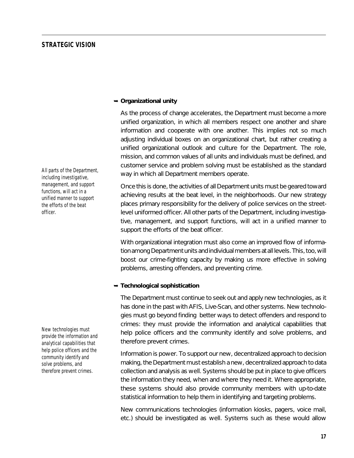➥ **Organizational unity**

As the process of change accelerates, the Department must become a more unified organization, in which all members respect one another and share information and cooperate with one another. This implies not so much adjusting individual boxes on an organizational chart, but rather creating a unified organizational outlook and culture for the Department. The role, mission, and common values of all units and individuals must be defined, and customer service and problem solving must be established as the standard way in which *all* Department members operate.

Once this is done, the activities of all Department units must be geared toward achieving results at the beat level, in the neighborhoods. Our new strategy places primary responsibility for the delivery of police services on the streetlevel uniformed officer. All other parts of the Department, including investigative, management, and support functions, will act in a unified manner to support the efforts of the beat officer.

With organizational integration must also come an improved flow of information among Department units and individual members at all levels. This, too, will boost our crime-fighting capacity by making us more effective in solving problems, arresting offenders, and preventing crime.

#### ➥ **Technological sophistication**

The Department must continue to seek out and apply new technologies, as it has done in the past with AFIS, Live-Scan, and other systems. New technologies must go beyond finding better ways to detect offenders and respond to crimes: they must provide the information and analytical capabilities that help police officers and the community identify and solve problems, and therefore prevent crimes.

Information is power. To support our new, decentralized approach to decision making, the Department must establish a new, decentralized approach to data collection and analysis as well. Systems should be put in place to give officers the information they need, when and where they need it. Where appropriate, these systems should also provide community members with up-to-date statistical information to help them in identifying and targeting problems.

New communications technologies (information kiosks, pagers, voice mail, etc.) should be investigated as well. Systems such as these would allow

*All parts of the Department, including investigative, management, and support functions, will act in a unified manner to support the efforts of the beat officer.*

*New technologies must provide the information and analytical capabilities that help police officers and the community identify and solve problems, and therefore prevent crimes.*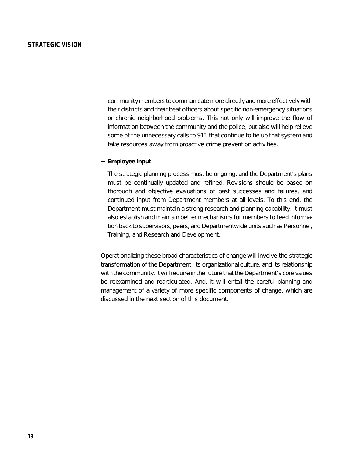community members to communicate more directly and more effectively with their districts and their beat officers about specific non-emergency situations or chronic neighborhood problems. This not only will improve the flow of information between the community and the police, but also will help relieve some of the unnecessary calls to 911 that continue to tie up that system and take resources away from proactive crime prevention activities.

#### ➥ **Employee input**

The strategic planning process must be ongoing, and the Department's plans must be continually updated and refined. Revisions should be based on thorough and objective evaluations of past successes and failures, and continued input from Department members at all levels. To this end, the Department must maintain a strong research and planning capability. It must also establish and maintain better mechanisms for members to feed information back to supervisors, peers, and Departmentwide units such as Personnel, Training, and Research and Development.

Operationalizing these broad characteristics of change will involve the strategic transformation of the Department, its organizational culture, and its relationship with the community. It will require in the future that the Department's core values be reexamined and rearticulated. And, it will entail the careful planning and management of a variety of more specific components of change, which are discussed in the next section of this document.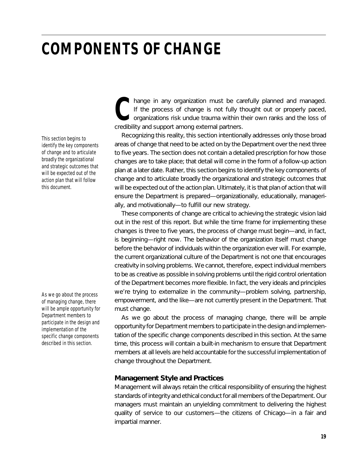*This section begins to identify the key components of change and to articulate broadly the organizational and strategic outcomes that will be expected out of the action plan that will follow this document.*

*As we go about the process of managing change, there will be ample opportunity for Department members to participate in the design and implementation of the specific change components described in this section.*

hange in any organization must be carefully planned and managed.<br>
If the process of change is not fully thought out or properly paced,<br>
organizations risk undue trauma within their own ranks and the loss of<br>
credibility an organizations risk undue trauma within their own ranks and the loss of credibility and support among external partners.

Recognizing this reality, this section intentionally addresses only those broad areas of change that need to be acted on by the Department over the next three to five years. The section does not contain a detailed prescription for *how* those changes are to take place; that detail will come in the form of a follow-up action plan at a later date. Rather, this section begins to identify the key components of change and to articulate broadly the organizational and strategic outcomes that will be expected out of the action plan. Ultimately, it is that plan of action that will ensure the Department is prepared—organizationally, educationally, managerially, and motivationally—to fulfill our new strategy.

These components of change are critical to achieving the strategic vision laid out in the rest of this report. But while the time frame for implementing these changes is three to five years, the process of change must begin—and, in fact, is beginning—right now. The behavior of the organization itself must change before the behavior of individuals within the organization ever will. For example, the current organizational culture of the Department is not one that encourages creativity in solving problems. We cannot, therefore, expect individual members to be as creative as possible in solving problems until the rigid control orientation of the Department becomes more flexible. In fact, the very ideals and principles we're trying to externalize in the community—problem solving, partnership, empowerment, and the like—are not currently present in the Department. That must change.

As we go about the process of managing change, there will be ample opportunity for Department members to participate in the design and implementation of the specific change components described in this section. At the same time, this process will contain a built-in mechanism to ensure that Department members at all levels are held accountable for the successful implementation of change throughout the Department.

# **Management Style and Practices**

Management will always retain the critical responsibility of ensuring the highest standards of integrity and ethical conduct for all members of the Department. Our managers must maintain an unyielding commitment to delivering the highest quality of service to our customers—the citizens of Chicago—in a fair and impartial manner.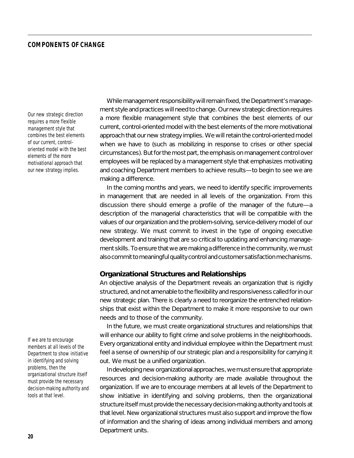*Our new strategic direction requires a more flexible management style that combines the best elements of our current, controloriented model with the best elements of the more motivational approach that our new strategy implies.*

While management responsibility will remain fixed, the Department's management style and practices will need to change. Our new strategic direction requires a more flexible management style that combines the best elements of our current, control-oriented model with the best elements of the more motivational approach that our new strategy implies. We will retain the control-oriented model when we have to (such as mobilizing in response to crises or other special circumstances). But for the most part, the emphasis on management control over employees will be replaced by a management style that emphasizes motivating and coaching Department members to achieve results—to begin to see we are making a difference.

In the coming months and years, we need to identify specific improvements in management that are needed in all levels of the organization. From this discussion there should emerge a profile of the manager of the future—a description of the managerial characteristics that will be compatible with the values of our organization and the problem-solving, service-delivery model of our new strategy. We must commit to invest in the type of ongoing executive development and training that are so critical to updating and enhancing management skills. To ensure that we are making a difference in the community, we must also commit to meaningful quality control and customer satisfaction mechanisms.

## **Organizational Structures and Relationships**

An objective analysis of the Department reveals an organization that is rigidly structured, and not amenable to the flexibility and responsiveness called for in our new strategic plan. There is clearly a need to reorganize the entrenched relationships that exist within the Department to make it more responsive to our own needs and to those of the community.

In the future, we must create organizational structures and relationships that will enhance our ability to fight crime and solve problems in the neighborhoods. Every organizational entity and individual employee within the Department must feel a sense of ownership of our strategic plan and a responsibility for carrying it out. We must be a unified organization.

In developing new organizational approaches, we must ensure that appropriate resources and decision-making authority are made available throughout the organization. If we are to encourage members at all levels of the Department to show initiative in identifying and solving problems, then the organizational structure itself must provide the necessary decision-making authority and tools at that level. New organizational structures must also support and improve the flow of information and the sharing of ideas among individual members and among Department units.

*If we are to encourage members at all levels of the Department to show initiative in identifying and solving problems, then the organizational structure itself must provide the necessary decision-making authority and tools at that level.*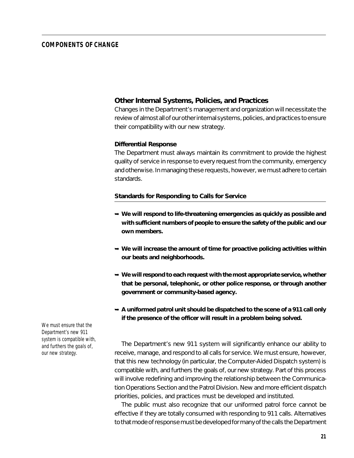## **Other Internal Systems, Policies, and Practices**

Changes in the Department's management and organization will necessitate the review of almost all of our other internal systems, policies, and practices to ensure their compatibility with our new strategy.

#### *Differential Response*

The Department must always maintain its commitment to provide the highest quality of service in response to every request from the community, emergency and otherwise. In managing these requests, however, we must adhere to certain standards.

#### **Standards for Responding to Calls for Service**

- ➥ **We will respond to life-threatening emergencies as quickly as possible and with sufficient numbers of people to ensure the safety of the public and our own members.**
- ➥ **We will increase the amount of time for proactive policing activities within our beats and neighborhoods.**
- ➥ **We will respond to each request with the most appropriate service, whether that be personal, telephonic, or other police response, or through another government or community-based agency.**
- ➥ **A uniformed patrol unit should be dispatched to the scene of a 911 call only if the presence of the officer will result in a problem being solved.**

The Department's new 911 system will significantly enhance our ability to receive, manage, and respond to all calls for service. We must ensure, however, that this new technology (in particular, the Computer-Aided Dispatch system) is compatible with, and furthers the goals of, our new strategy. Part of this process will involve redefining and improving the relationship between the Communication Operations Section and the Patrol Division. New and more efficient dispatch priorities, policies, and practices must be developed and instituted.

The public must also recognize that our uniformed patrol force cannot be effective if they are totally consumed with responding to 911 calls. Alternatives to that mode of response must be developed for many of the calls the Department

*We must ensure that the Department's new 911 system is compatible with, and furthers the goals of, our new strategy.*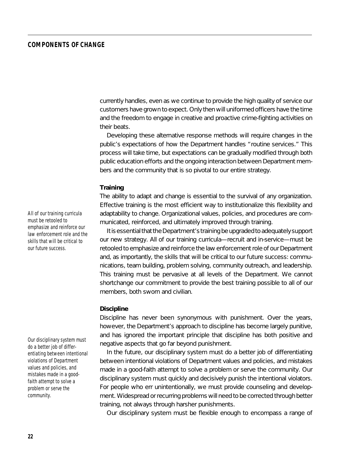currently handles, even as we continue to provide the high quality of service our customers have grown to expect. Only then will uniformed officers have the time and the freedom to engage in creative and proactive crime-fighting activities on their beats.

Developing these alternative response methods will require changes in the public's expectations of how the Department handles "routine services." This process will take time, but expectations can be gradually modified through both public education efforts and the ongoing interaction between Department members and the community that is so pivotal to our entire strategy.

#### *Training*

The ability to adapt and change is essential to the survival of any organization. Effective training is the most efficient way to institutionalize this flexibility and adaptability to change. Organizational values, policies, and procedures are communicated, reinforced, and ultimately improved through training.

It is essential that the Department's training be upgraded to adequately support our new strategy. All of our training curricula—recruit and in-service—must be retooled to emphasize and reinforce the law enforcement role of our Department and, as importantly, the skills that will be critical to our future success: communications, team building, problem solving, community outreach, and leadership. This training must be pervasive at all levels of the Department. We cannot shortchange our commitment to provide the best training possible to all of our members, both sworn and civilian.

#### *Discipline*

Discipline has never been synonymous with punishment. Over the years, however, the Department's approach to discipline has become largely punitive, and has ignored the important principle that discipline has both positive and negative aspects that go far beyond punishment.

In the future, our disciplinary system must do a better job of differentiating between intentional violations of Department values and policies, and mistakes made in a good-faith attempt to solve a problem or serve the community. Our disciplinary system must quickly and decisively punish the intentional violators. For people who err unintentionally, we must provide counseling and development. Widespread or recurring problems will need to be corrected through better training, not always through harsher punishments.

Our disciplinary system must be flexible enough to encompass a range of

*All of our training curricula must be retooled to emphasize and reinforce our law enforcement role and the skills that will be critical to our future success.*

*Our disciplinary system must do a better job of differentiating between intentional violations of Department values and policies, and mistakes made in a goodfaith attempt to solve a problem or serve the community.*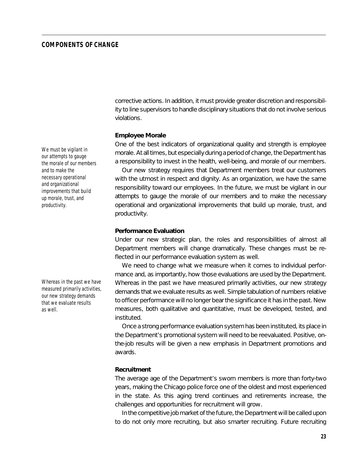corrective actions. In addition, it must provide greater discretion and responsibility to line supervisors to handle disciplinary situations that do not involve serious violations.

#### *Employee Morale*

One of the best indicators of organizational quality and strength is employee morale. At all times, but especially during a period of change, the Department has a responsibility to invest in the health, well-being, and morale of our members.

Our new strategy requires that Department members treat our customers with the utmost in respect and dignity. As an organization, we have the same responsibility toward our employees. In the future, we must be vigilant in our attempts to gauge the morale of our members and to make the necessary operational and organizational improvements that build up morale, trust, and productivity.

#### *Performance Evaluation*

Under our new strategic plan, the roles and responsibilities of almost all Department members will change dramatically. These changes must be reflected in our performance evaluation system as well.

We need to change *what* we measure when it comes to individual performance and, as importantly, *how* those evaluations are used by the Department. Whereas in the past we have measured primarily activities, our new strategy demands that we evaluate results as well. Simple tabulation of numbers relative to officer performance will no longer bear the significance it has in the past. New measures, both qualitative and quantitative, must be developed, tested, and instituted.

Once a strong performance evaluation system has been instituted, its place in the Department's promotional system will need to be reevaluated. Positive, onthe-job results will be given a new emphasis in Department promotions and awards.

#### *Recruitment*

The average age of the Department's sworn members is more than forty-two years, making the Chicago police force one of the oldest and most experienced in the state. As this aging trend continues and retirements increase, the challenges and opportunities for recruitment will grow.

In the competitive job market of the future, the Department will be called upon to do not only more recruiting, but also smarter recruiting. Future recruiting

*We must be vigilant in our attempts to gauge the morale of our members and to make the necessary operational and organizational improvements that build up morale, trust, and productivity.*

*Whereas in the past we have measured primarily activities, our new strategy demands that we evaluate results as well.*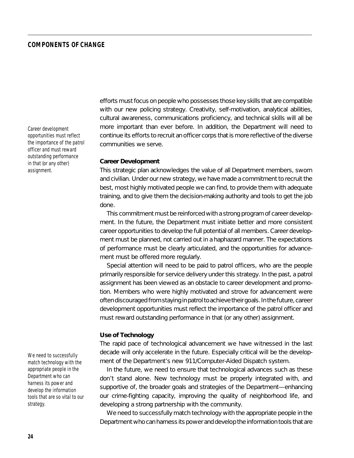*Career development opportunities must reflect the importance of the patrol officer and must reward outstanding performance in that (or any other) assignment.*

*We need to successfully match technology with the appropriate people in the Department who can harness its power and develop the information tools that are so vital to our strategy.*

efforts must focus on people who possesses those key skills that are compatible with our new policing strategy. Creativity, self-motivation, analytical abilities, cultural awareness, communications proficiency, and technical skills will all be more important than ever before. In addition, the Department will need to continue its efforts to recruit an officer corps that is more reflective of the diverse communities we serve.

#### *Career Development*

This strategic plan acknowledges the value of *all* Department members, sworn and civilian. Under our new strategy, we have made a commitment to recruit the best, most highly motivated people we can find, to provide them with adequate training, and to give them the decision-making authority and tools to get the job done.

This commitment must be reinforced with a strong program of career development. In the future, the Department must initiate better and more consistent career opportunities to develop the full potential of all members. Career development must be planned, not carried out in a haphazard manner. The expectations of performance must be clearly articulated, and the opportunities for advancement must be offered more regularly.

Special attention will need to be paid to patrol officers, who are the people primarily responsible for service delivery under this strategy. In the past, a patrol assignment has been viewed as an obstacle to career development and promotion. Members who were highly motivated and strove for advancement were often discouraged from staying in patrol to achieve their goals. In the future, career development opportunities must reflect the importance of the patrol officer and must reward outstanding performance in that (or any other) assignment.

#### *Use of Technology*

The rapid pace of technological advancement we have witnessed in the last decade will only accelerate in the future. Especially critical will be the development of the Department's new 911/Computer-Aided Dispatch system.

In the future, we need to ensure that technological advances such as these don't stand alone. New technology must be properly integrated with, and supportive of, the broader goals and strategies of the Department—enhancing our crime-fighting capacity, improving the quality of neighborhood life, and developing a strong partnership with the community.

We need to successfully match technology with the appropriate people in the Department who can harness its power and develop the information tools that are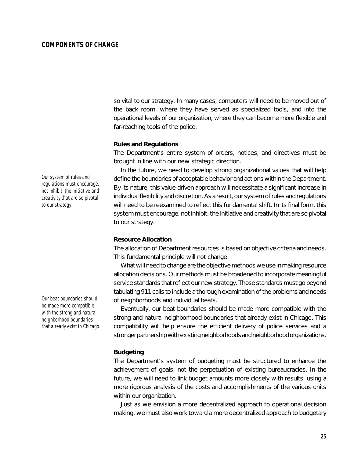so vital to our strategy. In many cases, computers will need to be moved out of the back room, where they have served as specialized tools, and into the operational levels of our organization, where they can become more flexible and far-reaching tools of the police.

#### *Rules and Regulations*

The Department's entire system of orders, notices, and directives must be brought in line with our new strategic direction.

In the future, we need to develop strong organizational values that will help define the boundaries of acceptable behavior and actions within the Department. By its nature, this value-driven approach will necessitate a significant increase in individual flexibility and discretion. As a result, our system of rules and regulations will need to be reexamined to reflect this fundamental shift. In its final form, this system must encourage, not inhibit, the initiative and creativity that are so pivotal to our strategy.

#### *Resource Allocation*

The allocation of Department resources is based on objective criteria and needs. This fundamental principle will not change.

What will need to change are the objective methods we use in making resource allocation decisions. Our methods must be broadened to incorporate meaningful service standards that reflect our new strategy. Those standards must go beyond tabulating 911 calls to include a thorough examination of the problems and needs of neighborhoods and individual beats.

Eventually, our beat boundaries should be made more compatible with the strong and natural neighborhood boundaries that already exist in Chicago. This compatibility will help ensure the efficient delivery of police services and a stronger partnership with existing neighborhoods and neighborhood organizations.

#### *Budgeting*

The Department's system of budgeting must be structured to enhance the achievement of goals, not the perpetuation of existing bureaucracies. In the future, we will need to link budget amounts more closely with results, using a more rigorous analysis of the costs and accomplishments of the various units within our organization.

Just as we envision a more decentralized approach to operational decision making, we must also work toward a more decentralized approach to budgetary

*Our system of rules and regulations must encourage, not inhibit, the initiative and creativity that are so pivotal to our strategy.*

*Our beat boundaries should be made more compatible with the strong and natural neighborhood boundaries that already exist in Chicago.*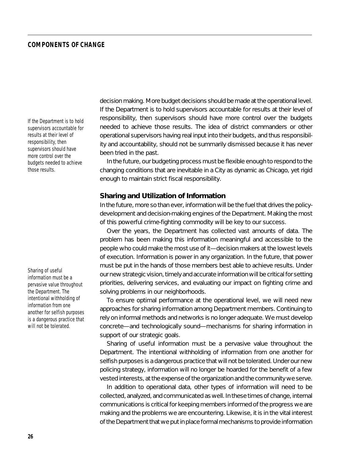*If the Department is to hold supervisors accountable for results at their level of responsibility, then supervisors should have more control over the budgets needed to achieve those results.*

*Sharing of useful information must be a pervasive value throughout the Department. The intentional withholding of information from one another for selfish purposes is a dangerous practice that will not be tolerated.*

decision making. More budget decisions should be made at the operational level. If the Department is to hold supervisors accountable for results at their level of responsibility, then supervisors should have more control over the budgets needed to achieve those results. The idea of district commanders or other operational supervisors having real input into their budgets, and thus responsibility and accountability, should not be summarily dismissed because it has never been tried in the past.

In the future, our budgeting process must be flexible enough to respond to the changing conditions that are inevitable in a City as dynamic as Chicago, yet rigid enough to maintain strict fiscal responsibility.

#### **Sharing and Utilization of Information**

In the future, more so than ever, information will be the fuel that drives the policydevelopment and decision-making engines of the Department. Making the most of this powerful crime-fighting commodity will be key to our success.

Over the years, the Department has collected vast amounts of data. The problem has been making this information meaningful and accessible to the people who could make the most use of it—decision makers at the lowest levels of execution. Information is power in any organization. In the future, that power must be put in the hands of those members best able to achieve results. Under our new strategic vision, timely and accurate information will be critical for setting priorities, delivering services, and evaluating our impact on fighting crime and solving problems in our neighborhoods.

To ensure optimal performance at the operational level, we will need new approaches for sharing information among Department members. Continuing to rely on informal methods and networks is no longer adequate. We must develop concrete—and technologically sound—mechanisms for sharing information in support of our strategic goals.

Sharing of useful information must be a pervasive value throughout the Department. The intentional withholding of information from one another for selfish purposes is a dangerous practice that will not be tolerated. Under our new policing strategy, information will no longer be hoarded for the benefit of a few vested interests, at the expense of the organization and the community we serve.

In addition to operational data, other types of information will need to be collected, analyzed, and communicated as well. In these times of change, internal communications is critical for keeping members informed of the progress we are making and the problems we are encountering. Likewise, it is in the vital interest of the Department that we put in place formal mechanisms to provide information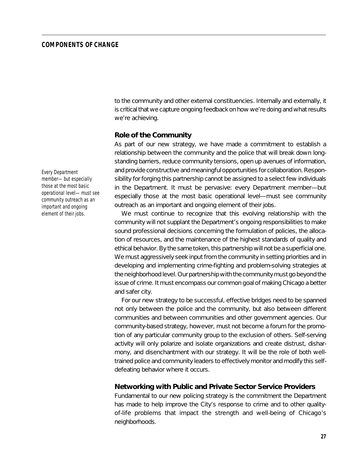to the community and other external constituencies. Internally and externally, it is critical that we capture ongoing feedback on how we're doing and what results we're achieving.

#### **Role of the Community**

As part of our new strategy, we have made a commitment to establish a relationship between the community and the police that will break down longstanding barriers, reduce community tensions, open up avenues of information, and provide constructive and meaningful opportunities for collaboration. Responsibility for forging this partnership cannot be assigned to a select few individuals in the Department. It must be pervasive: every Department member—but especially those at the most basic operational level—must see community outreach as an important and ongoing element of their jobs.

We must continue to recognize that this evolving relationship with the community will not supplant the Department's ongoing responsibilities to make sound professional decisions concerning the formulation of policies, the allocation of resources, and the maintenance of the highest standards of quality and ethical behavior. By the same token, this partnership will not be a superficial one. We must aggressively seek input from the community in setting priorities and in developing and implementing crime-fighting and problem-solving strategies at the neighborhood level. Our partnership with the community must go beyond the issue of crime. It must encompass our common goal of making Chicago a better and safer city.

For our new strategy to be successful, effective bridges need to be spanned not only between the police and the community, but also between different communities and between communities and other government agencies. Our community-based strategy, however, must not become a forum for the promotion of any particular community group to the exclusion of others. Self-serving activity will only polarize and isolate organizations and create distrust, disharmony, and disenchantment with our strategy. It will be the role of both welltrained police and community leaders to effectively monitor and modify this selfdefeating behavior where it occurs.

#### **Networking with Public and Private Sector Service Providers**

Fundamental to our new policing strategy is the commitment the Department has made to help improve the City's response to crime and to other qualityof-life problems that impact the strength and well-being of Chicago's neighborhoods.

*Every Department member—but especially those at the most basic operational level—must see community outreach as an important and ongoing element of their jobs.*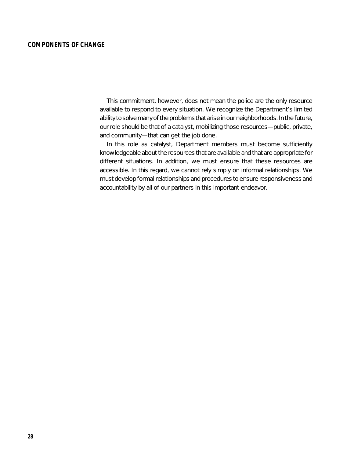This commitment, however, does not mean the police are the only resource available to respond to every situation. We recognize the Department's limited ability to solve many of the problems that arise in our neighborhoods. In the future, our role should be that of a catalyst, mobilizing those resources—public, private, and community—that can get the job done.

In this role as catalyst, Department members must become sufficiently knowledgeable about the resources that are available and that are appropriate for different situations. In addition, we must ensure that these resources are accessible. In this regard, we cannot rely simply on informal relationships. We must develop formal relationships and procedures to ensure responsiveness and accountability by all of our partners in this important endeavor.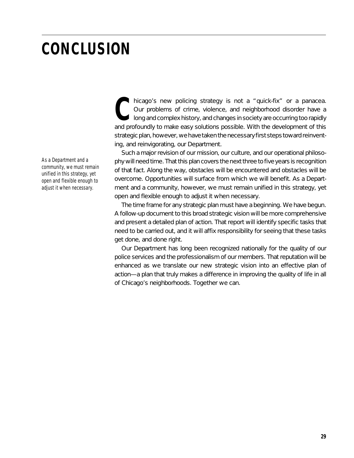# **CONCLUSION**

*As a Department and a community, we must remain unified in this strategy, yet open and flexible enough to adjust it when necessary.*

hicago's new policing strategy is not a "quick-fix" or a panacea.<br>
Our problems of crime, violence, and neighborhood disorder have a<br>
long and complex history, and changes in society are occurring too rapidly<br>
and profound long and complex history, and changes in society are occurring too rapidly and profoundly to make easy solutions possible. With the development of this strategic plan, however, we have taken the necessary first steps toward reinventing, and reinvigorating, our Department.

Such a major revision of our mission, our culture, and our operational philosophy will need time. That this plan covers the next three to five years is recognition of that fact. Along the way, obstacles will be encountered and obstacles will be overcome. Opportunities will surface from which we will benefit. As a Department and a community, however, we must remain unified in this strategy, yet open and flexible enough to adjust it when necessary.

The time frame for any strategic plan must have a beginning. We have begun. A follow-up document to this broad strategic vision will be more comprehensive and present a detailed plan of action. That report will identify specific tasks that need to be carried out, and it will affix responsibility for seeing that these tasks get done, and done right.

Our Department has long been recognized nationally for the quality of our police services and the professionalism of our members. That reputation will be enhanced as we translate our new strategic vision into an effective plan of action—a plan that truly makes a difference in improving the quality of life in all of Chicago's neighborhoods. Together we can.